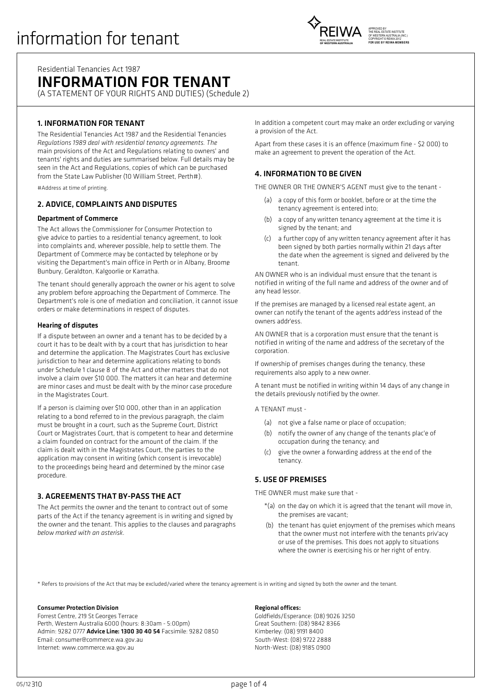

Residential Tenancies Act 1987 INFORMATION FOR TENANT

(A STATEMENT OF YOUR RIGHTS AND DUTIES) (Schedule 2)

The Residential Tenancies Act 1987 and the Residential Tenancies Regulations 1989 deal with residential tenancy agreements. The and these cases it is an offence (maximum fine - \$2 000) to<br>main provisions of the Act and Regulations relating to owners' and make an agreement to prevent the tenants' rights and duties are summarised below. Full details may be seen in the Act and Regulations, copies of which can be purchased from the State Law Publisher (10 William Street, Perth#). **4. INFORMATION TO BE GIVEN** 

The Act allows the Commissioner for Consumer Protection to signed by the tenant; and give advice to parties to a residential tenancy agreement, to look (c) a further copy of any written tenancy agreement after it has into complaints and, wherever possible, help to settle them. The been signed by both parties normally within 21 days after<br>Department of Commerce may be contacted by telephone or by the state when the agreement is signed a visiting the Department's main office in Perth or in Albany, Broome<br>Bunbury, Geraldton, Kalgoorlie or Karratha.

any problem before approaching the Department of Commerce. The Department's role is one of mediation and conciliation, it cannot issue

## **Hearing of disputes and the act of the arm of disputes hearing** owners addr'ess.

If a dispute between an owner and a tenant has to be decided by a<br>court it has to be dealt with by a court that has jurisdiction to hear notified in writing of the name and address of the secretary of the<br>and determine the jurisdiction to hear and determine applications relating to bonds jurisdiction to hear and determine applications relating to bonds entity of premises changes during the tenancy, these under Schedule 1 clause 8 of the Act and other matters that do not involve a claim over \$10 000. The matters it can hear and determine are minor cases and must be dealt with by the minor case procedure A tenant must be notified in writing within 14 days of any change in in the Magistrates Court. The details previously notified by the owner.

If a person is claiming over \$10 000, other than in an application A TENANT must relating to a bond referred to in the previous paragraph, the claim must be brought in a court, such as the Supreme Court, District (a) not give a false name or place of occupation; Court or Magistrates Court, that is competent to hear and determine (b) notify the owner of any change of the tenants plac'e of a claim founded on contract for the amount of the claim. If the occupation during the tenancy; and claim is dealt with in the Magistrates Court, the parties to the (c) give the owner a forwarding address at the end of the application may consent in writing (which consent is irrevocable) to the proceedings being heard an procedure.<br> **5. USE OF PREMISES** 

# 3. AGREEMENTS THAT BY-PASS THE ACT THE OWNER must make sure that -

parts of the Act if the tenancy agreement is in writing and signed by the owner and the tenant. This applies to the clauses and paragraphs (b) the tenant has quiet enjoyment of the premises which means<br>helow marked with an asterisk.

**1. INFORMATION FOR TENANT**<br>The Pesidential Tenancies Act 1987 and the Pesidential Tenancies a provision of the Act.

#Address at time of printing. THE OWNER OR THE OWNER'S AGENT must give to the tenant -

- **2. ADVICE, COMPLAINTS AND DISPUTES** (a) a copy of this form or booklet, before or at the time the tenancy agreement is entered into;
- **Department of Commerce** entity and the time it is a copy of any written tenancy agreement at the time it is
	- the date when the agreement is signed and delivered by the

AN OWNER who is an individual must ensure that the tenant is The tenant should generally approach the owner or his agent to solve notified in writing of the full name and address of the owner and of  $\overline{a}$ 

If the premises are managed by a licensed real estate agent, an orders or make determinations in respect of disputes.<br>owner can notify the tenant of the agents addr'ess instead of the

requirements also apply to a new owner.

- 
- 
- 

- The Act permits the owner and the tenant to contract out of some  $*$  (a) on the day on which it is agreed that the tenant will move in, charge of the Act if the tenant was exprement is in writing and signed by the premise
	- *below marked with an asterisk.* that the owner must not interfere with the tenants priv'acy or use of the premises. This does not apply to situations where the owner is exercising his or her right of entry.

\* Refers to provisions of the Act that may be excluded/varied where the tenancy agreement is in writing and signed by both the owner and the tenant.

**Consumer Protection Division**<br>
Forrest Centre. 219 St Georges Terrace **Regional offices:** Coldfields/Esperance: (08) 9026 3250 Forrest Centre, 219 St Georges Terrace Perth, Western Australia 6000 (hours: 8:30am - 5:00pm) Great Southern: (08) 9842 8366 Admin: 9282 0777 **Advice Line: 1300 30 40 54** Facsimile: 9282 0850 Kimberley: (08) 9191 8400<br>Email: consumer@commerce wa.gov.au Email: consumer@commerce.wa.gov.au South-West: (08) 9722 2888<br>South-West: (08) 9722 2888<br>Internet: www.commerce.wa.gov.au South-South-West: (08) 9185 0900 Internet: www.commerce.wa.gov.au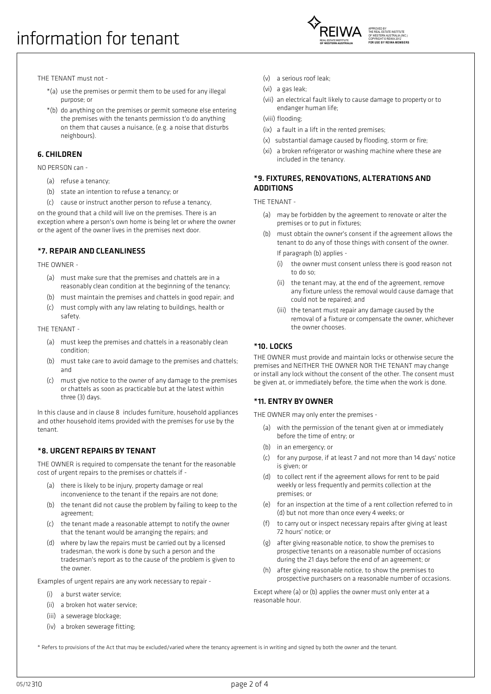APPROVED BY THE REAL ESTATE INSTITUTE OF WESTERN AUSTRALIA (INC.) COPYRIGHT © REIWA 2012 **FOR USE BY REIWA MEMBERS**

THE TENANT must not - (v) a serious roof leak;

- (vi) a gas leak; \*(a) use the premises or permit them to be used for any illegal
- endanger human life; \*(b) do anything on the premises or permit someone else entering the premises with the tenants permission t'o do anything on them that causes a nuisance, (e.g. a noise that disturbs on them that causes a nuisance, (e.g. a noise that disturbs (ix) a fault in a lift in the rented premises;<br>(x) substantial damage caused by flooding, storm or fire;

NO PERSON can -

- 
- (b) state an intention to refuse a tenancy; or
- (c) cause or instruct another person to refuse a tenancy, THE TENANT -

on the ground that a child will live on the premises. There is an (a) may be forbidden by the agreement to renovate or alter the exception where a person's own home is being let or where the owner premises or to put in fix or the agent of the owner lives in the premises next door.<br>(b) must obtain the owner's consent if the agreement allows the

### \*7. REPAIR AND CLEANLINESS **If paragraph** (b) applies -

- (a) must make sure that the premises and chattels are in a
- (b) must maintain the premises and chattels in good repair; and could not be repaired; and
- (c) must comply with any law relating to buildings, health or

- (a) must keep the premises and chattels in a reasonably clean  $*10.$  LOCKS
- 
- (c) must give notice to the owner of any damage to the premises be given at, or immediately before, the time when the work is done.<br>or chattels as soon as practicable but at the latest within three (3) days. **\*11. ENTRY BY OWNER**

In this clause and in clause 8 includes furniture, household appliances THE OWNER may only enter the premises -<br>and other household items provided with the premises for use by the

THE OWNER is required to compensate the tenant for the reasonable is given; or cost of urgent repairs to the premises or chattels if -  $(4)$  and local metals if -

- (a) there is likely to be injury, property damage or real weekly or less frequently and permits collection at the inconvenience to the tenant if the repairs are not done; premises; or
- agreement; (d) but not more than once every 4 weeks; or
- that the tenant would be arranging the repairs; and 72 hours' notice; or
- (d) where by law the repairs must be carried out by a licensed (g) after giving reasonable notice, to show the premises to tradesman's report as to the cause of the problem is given to during the 21 days before the end of an agreement; or the owner. (h) after giving reasonable notice, to show the premises to

- (i) a burst water service;
- reasonable hour. (ii) <sup>a</sup> broken hot water service;
- (iii) a sewerage blockage;
- (iv) a broken sewerage fitting;
- 
- 
- purpose; or (vii) an electrical fault likely to cause damage to property or to
	-
	-
	-
- **6. CHILDREN 6. CHILDREN 1998** (xi) a broken refrigerator or washing machine where these are included in the tenancy.

# (a) refuse a tenancy;  $\bullet$  **\*9. FIXTURES, RENOVATIONS, ALTERATIONS AND**

- 
- tenant to do any of those things with consent of the owner.
- THE OWNER THE OWNER THE OWNER THE OWNER IS GOOD TO A LIMIT ON THE OWNER ON THE OWNER IS GOOD TO A LIMIT ON THE OWNER ON THE OWNER ON THE OWNER IS GOOD TO A LIMIT ON THE OWNER ON THE OWNER ON THE OWNER ON THE OWNER IS to do so;
	- (ii) the tenant may, at the end of the agreement, remove reasonably clean condition at the beginning of the tenancy; any fixture unless the removal would cause damage that<br>any fixture unless the removal would cause damage that
- (iii) the tenant must repair any damage caused by the safety.<br>removal of a fixture or compensate the owner, whichever the owner chooses. THE TENANT -

condition;<br>(b) must take care to avoid damage to the premises and chattels:<br>(b) must take care to avoid damage to the premises and chattels: inust take care to avoid damage to the premises and chattels; premises and NEITHER THE OWNER NOR THE TENANT may change<br>and or install any lock without the consent of the other. The consent must

- ERE ENERGY MELECULE MENT PERSON THE PERSON OF THE PERSON OF THE PERSON OF THE PERSON OF THE CHARGE THE ORDER THE ORDER THE ORDER THE ORDER THE ORDER THE ORDER THE ORDER THE ORDER THE ORDER THE ORDER THE ORDER THE ORDER THE
	-
- <sup>\*</sup>8. URGENT REPAIRS BY TENANT<br>(c) for any purpose, if at least 7 and not more than 14 days' notice
	- (d) to collect rent if the agreement allows for rent to be paid
	- (b) the tenant did not cause the problem by failing to keep to the (e) for an inspection at the time of a rent collection referred to in
	- (c) the tenant made a reasonable attempt to notify the owner (f) to carry out or inspect necessary repairs after giving at least
		- tradesman, the work is done by such a person and the prospective tenants on a reasonable number of occasions
- prospective purchasers on a reasonable number of occasions. Examples of urgent repairs are any work necessary to repair -

Except where (a) or (b) applies the owner must only enter at a

\* Refers to provisions of the Act that may be excluded/varied where the tenancy agreement is in writing and signed by both the owner and the tenant.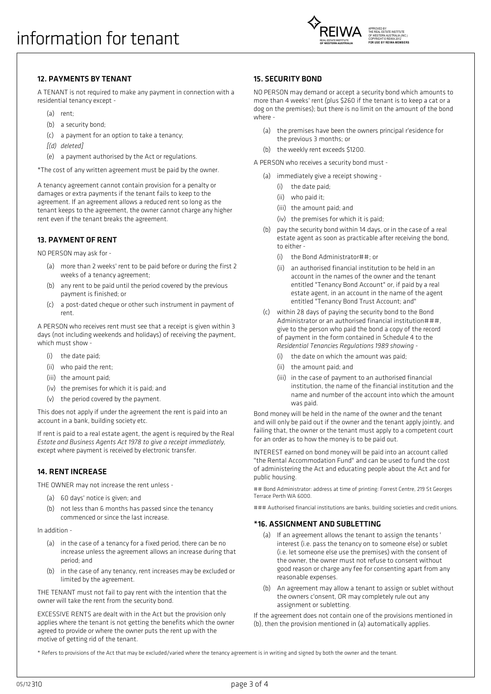

### 12. PAYMENTS BY TENANT 15. SECURITY BOND

residential tenancy except - more than 4 weeks' rent (plus \$260 if the tenant is to keep a cat or a

- 
- (b) a security bond;
- (c) a payment for an option to take a tenancy;<br>(d) deleted] the previous 3 months; or the previous 3 months; or the previous 3 months; or the previous 3 months; or the previous 3 months; or the previous 3 months; or the p
- 
- *[(d) deleted]* (b) the weekly rent exceeds \$1200.

(e) a payment authorised by the Act or regulations. A PERSON who receives a security bond must - \*The cost of any written agreement must be paid by the owner.

A tenancy agreement cannot contain provision for a penalty or (i) the date paid;<br>damages or extra payments if the tenant fails to keep to the (ii) who paid it; agreement. If an agreement allows a reduced rent so long as the same in the same of the same of the same of the same of the same of the same of the same of the same of the same of the same of the same of the same of the sa tenant keeps to the agreement, the owner cannot charge any higher rent even if the tenant breaks the agreement. (iv) the premises for which it is paid;

NO PERSON may ask for -  $(1)$ 

- 
- (b) any rent to be paid until the period covered by the previous payment is finished; or
- (c) a post-dated cheque or other such instrument in payment of

A PERSON who receives rent must see that a receipt is given within 3<br>days (not including weekends and holidays) of receiving the payment,<br>of payment in the form contained in Schoolule 4 to the

- 
- 
- 
- 
- (v) the period covered by the payment. was paid.

This does not apply if under the agreement the rent is paid into an<br>account in a bank, building society etc.<br>and will only be paid out if the owner and the tenant apply jointly, and

If rent is paid to a real estate agent, the agent is required by the Real for an order as to how the money is to be paid out. *Estate and Business Agents Act <sup>1978</sup> to give <sup>a</sup> receipt immediately,*

- Terrace Perth WA 6000. (a) 60 days' notice is given; and
- (b) not less than 6 months has passed since the tenancy **###** Authorised financial institutions are banks, building societies and credit unions.<br>
commenced or since the last increase
- In addition
	-
	- limited by the agreement.

EXCESSIVE RENTS are dealt with in the Act but the provision only If the agreement does not contain one of the provisions mentioned in<br>applies where the tenant is not getting the benefits which the owner (b) then the provis agreed to provide or where the owner puts the rent up with the motive of getting rid of the tenant.

A TENANT is not required to make any payment in connection with a NO PERSON may demand or accept a security bond which amounts to dog on the premises); but there is no limit on the amount of the bond (a) rent;<br>where -

- (a) the premises have been the owners principal r'esidence for
- 

- (a) immediately give a receipt showing
	-
	-
	-
	-
- (b) pay the security bond within 14 days, or in the case of a real **13. PAYMENT OF RENT** estate agent as soon as practicable after receiving the bond, 13. PAYMENT OF RENT
	- the Bond Administrator##; or
	- (a) more than 2 weeks' rent to be paid before or during the first 2 (ii) an authorised financial institution to be held in an weeks of a tenancy agreement; account in the names of the owner and the tenant<br>(b) any rent to b estate agent, in an account in the name of the agent entitled "Tenancy Bond Trust Account; and"
- rent.<br>
(c) within 28 days of paying the security bond to the Bond<br>
Administrator or an authorised financial institution###, days (not including weekends and holidays) of receiving the payment,<br>which must show -<br>Residential Tenancies Regulations 1989 showing -
	- (i) the date paid; (i) the date on which the amount was paid;
	- (ii) who paid the rent; (ii) the amount paid; and
	- (iii) the amount paid;<br>(iv) the premises for which it is paid: and<br>(iv) the premises for which it is paid: and institution, the name of the financial institution and the (iv) the premises for which it is paid; and name and number of the amount into which the amount into which the amount

failing that, the owner or the tenant must apply to a competent court

except where payment is received by electronic transfer. Interest will be paid into an account called "the Rental Accommodation Fund" and can be used to fund the cost **14. RENT INCREASE 16. And in the Act and Education** of administering the Act and educating people about the Act and for public housing.

THE OWNER may not increase the rent unless - ## Bond Administrator: address at time of printing: Forrest Centre, 219 St Georges

### \*16. ASSIGNMENT AND SUBLETTING

- (a) If an agreement allows the tenant to assign the tenants ' (a) in the case of a tenancy for a fixed period, there can be no interest (i.e. pass the tenancy on to someone else) or sublet increase unless the agreement allows an increase during that (i.e. let someone else use the premises) with the consent of period; and the owner, the owner must not refuse to consent without (b) in the case of any tenancy, rent increases may be excluded or good reason or charge any fee for consenting apart from any reasonable expenses.
- (b) An agreement may allow <sup>a</sup> tenant to assign or sublet without THE TENANT must not fail to pay rent with the intention that the THE TENANT THIST NOT TAN UP OF THE ONCE THE OWNER CONSENT. OR MAY COMPLETELY THE OUT ANY COMPLETE OUT ANY COMPLETE OUT ANY COMPLETE OUT ANY ASSIGNMENT OF SUBJECTING.

(b), then the provision mentioned in (a) automatically applies.

\* Refers to provisions of the Act that may be excluded/varied where the tenancy agreement is in writing and signed by both the owner and the tenant.